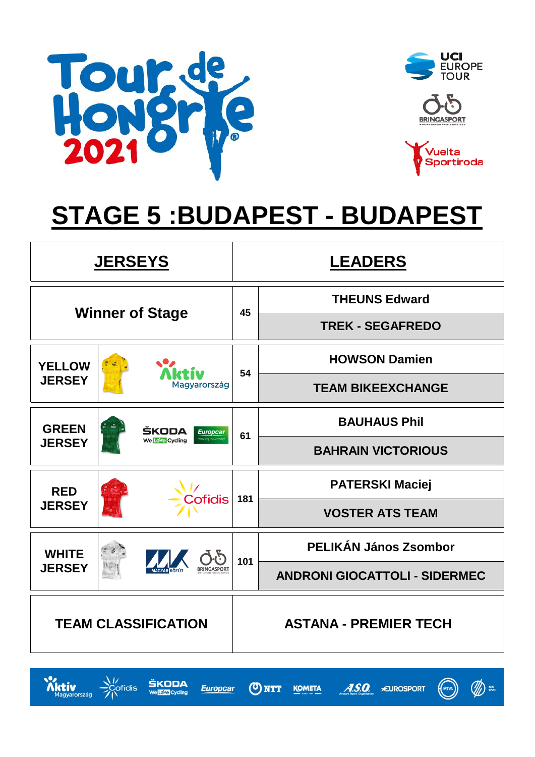

**Xktiv**<br>Magyarország

 $\frac{1}{2}$ Cofidis

ŠKODA

We Love Cycling







# **STAGE 5 :BUDAPEST - BUDAPEST**

|                            | <b>JERSEYS</b>  |                        |     | <b>LEADERS</b>                       |  |  |  |  |
|----------------------------|-----------------|------------------------|-----|--------------------------------------|--|--|--|--|
|                            |                 |                        |     | <b>THEUNS Edward</b>                 |  |  |  |  |
|                            |                 | <b>Winner of Stage</b> | 45  | <b>TREK - SEGAFREDO</b>              |  |  |  |  |
| <b>YELLOW</b>              |                 |                        |     | <b>HOWSON Damien</b>                 |  |  |  |  |
| <b>JERSEY</b>              |                 | Magyarország           | 54  | <b>TEAM BIKEEXCHANGE</b>             |  |  |  |  |
| <b>GREEN</b>               |                 | ŠKODA<br>Europcar      |     | <b>BAUHAUS Phil</b>                  |  |  |  |  |
| <b>JERSEY</b>              | We Love Cycling |                        | 61  | <b>BAHRAIN VICTORIOUS</b>            |  |  |  |  |
| <b>RED</b>                 |                 |                        | 181 | <b>PATERSKI Maciej</b>               |  |  |  |  |
| <b>JERSEY</b>              |                 | <b>Cofidis</b>         |     | <b>VOSTER ATS TEAM</b>               |  |  |  |  |
| <b>WHITE</b>               |                 |                        | 101 | PELIKÁN János Zsombor                |  |  |  |  |
| <b>JERSEY</b>              |                 |                        |     | <b>ANDRONI GIOCATTOLI - SIDERMEC</b> |  |  |  |  |
| <b>TEAM CLASSIFICATION</b> |                 |                        |     | <b>ASTANA - PREMIER TECH</b>         |  |  |  |  |

ONTT

**Europcar** 



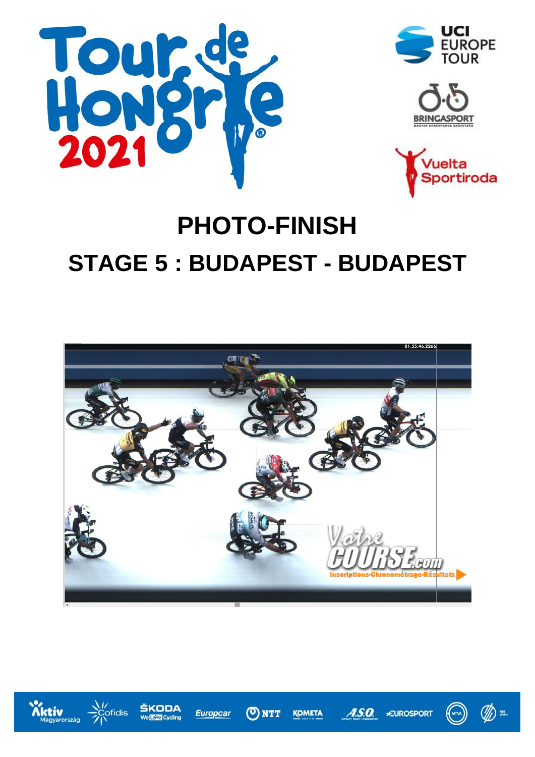







# **PHOTO-FINISH STAGE 5 : BUDAPEST - BUDAPEST**



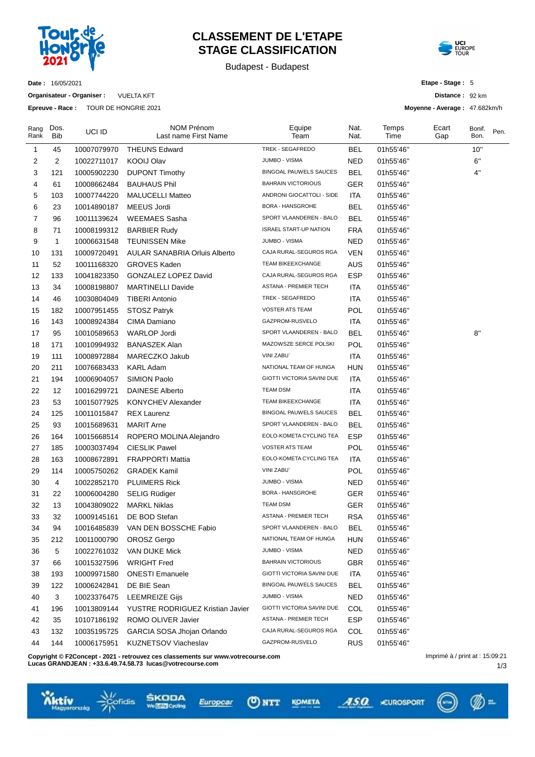

## **CLASSEMENT DE L'ETAPE STAGE CLASSIFICATION**

Budapest - Budapest



**Date :** 16/05/2021

**Organisateur - Organiser :** VUELTA KFT

**Epreuve - Race :** TOUR DE HONGRIE 2021

**Etape - Stage :** 5

**Distance :** 92 km

**Moyenne - Average :** 47.682km/h

| Rang<br>Rank | Dos.<br>Bib    | UCI ID      | <b>NOM Prénom</b><br>Last name First Name | Equipe<br>Team                | Nat.<br>Nat. | Temps<br>Time | Ecart<br>Gap | Bonif.<br>Bon. | Pen. |
|--------------|----------------|-------------|-------------------------------------------|-------------------------------|--------------|---------------|--------------|----------------|------|
| 1            | 45             | 10007079970 | <b>THEUNS Edward</b>                      | TREK - SEGAFREDO              | BEL          | 01h55'46"     |              | 10"            |      |
| 2            | $\overline{2}$ | 10022711017 | <b>KOOIJ Olav</b>                         | JUMBO - VISMA                 | <b>NED</b>   | 01h55'46"     |              | 6"             |      |
| 3            | 121            | 10005902230 | <b>DUPONT Timothy</b>                     | <b>BINGOAL PAUWELS SAUCES</b> | BEL          | 01h55'46"     |              | $4"$           |      |
| 4            | 61             | 10008662484 | <b>BAUHAUS Phil</b>                       | <b>BAHRAIN VICTORIOUS</b>     | <b>GER</b>   | 01h55'46"     |              |                |      |
| 5            | 103            | 10007744220 | <b>MALUCELLI Matteo</b>                   | ANDRONI GIOCATTOLI - SIDE     | ITA          | 01h55'46"     |              |                |      |
| 6            | 23             | 10014890187 | MEEUS Jordi                               | <b>BORA - HANSGROHE</b>       | <b>BEL</b>   | 01h55'46"     |              |                |      |
| 7            | 96             | 10011139624 | <b>WEEMAES Sasha</b>                      | SPORT VLAANDEREN - BALO       | BEL          | 01h55'46"     |              |                |      |
| 8            | 71             | 10008199312 | <b>BARBIER Rudy</b>                       | <b>ISRAEL START-UP NATION</b> | <b>FRA</b>   | 01h55'46"     |              |                |      |
| 9            | $\mathbf{1}$   | 10006631548 | <b>TEUNISSEN Mike</b>                     | JUMBO - VISMA                 | NED          | 01h55'46"     |              |                |      |
| 10           | 131            | 10009720491 | <b>AULAR SANABRIA Orluis Alberto</b>      | CAJA RURAL-SEGUROS RGA        | <b>VEN</b>   | 01h55'46"     |              |                |      |
| 11           | 52             | 10011168320 | <b>GROVES Kaden</b>                       | <b>TEAM BIKEEXCHANGE</b>      | AUS          | 01h55'46"     |              |                |      |
| 12           | 133            | 10041823350 | GONZALEZ LOPEZ David                      | CAJA RURAL-SEGUROS RGA        | ESP          | 01h55'46"     |              |                |      |
| 13           | 34             | 10008198807 | <b>MARTINELLI Davide</b>                  | ASTANA - PREMIER TECH         | <b>ITA</b>   | 01h55'46"     |              |                |      |
| 14           | 46             | 10030804049 | <b>TIBERI Antonio</b>                     | TREK - SEGAFREDO              | ITA          | 01h55'46"     |              |                |      |
| 15           | 182            | 10007951455 | STOSZ Patryk                              | <b>VOSTER ATS TEAM</b>        | POL          | 01h55'46"     |              |                |      |
| 16           | 143            | 10008924384 | CIMA Damiano                              | GAZPROM-RUSVELO               | <b>ITA</b>   | 01h55'46"     |              |                |      |
| 17           | 95             | 10010589653 | <b>WARLOP Jordi</b>                       | SPORT VLAANDEREN - BALO       | BEL          | 01h55'46"     |              | 8"             |      |
| 18           | 171            | 10010994932 | <b>BANASZEK Alan</b>                      | MAZOWSZE SERCE POLSKI         | POL          | 01h55'46"     |              |                |      |
| 19           | 111            | 10008972884 | MARECZKO Jakub                            | VINI ZABU`                    | <b>ITA</b>   | 01h55'46"     |              |                |      |
| 20           | 211            | 10076683433 | <b>KARL Adam</b>                          | NATIONAL TEAM OF HUNGA        | <b>HUN</b>   | 01h55'46"     |              |                |      |
| 21           | 194            | 10006904057 | SIMION Paolo                              | GIOTTI VICTORIA SAVINI DUE    | ITA          | 01h55'46"     |              |                |      |
| 22           | 12             | 10016299721 | <b>DAINESE Alberto</b>                    | <b>TEAM DSM</b>               | <b>ITA</b>   | 01h55'46"     |              |                |      |
| 23           | 53             | 10015077925 | <b>KONYCHEV Alexander</b>                 | TEAM BIKEEXCHANGE             | ITA          | 01h55'46"     |              |                |      |
| 24           | 125            | 10011015847 | <b>REX Laurenz</b>                        | BINGOAL PAUWELS SAUCES        | BEL          | 01h55'46"     |              |                |      |
| 25           | 93             | 10015689631 | <b>MARIT Arne</b>                         | SPORT VLAANDEREN - BALO       | BEL          | 01h55'46"     |              |                |      |
| 26           | 164            | 10015668514 | ROPERO MOLINA Alejandro                   | EOLO-KOMETA CYCLING TEA       | ESP          | 01h55'46"     |              |                |      |
| 27           | 185            | 10003037494 | <b>CIESLIK Pawel</b>                      | <b>VOSTER ATS TEAM</b>        | POL          | 01h55'46"     |              |                |      |
| 28           | 163            | 10008672891 | <b>FRAPPORTI Mattia</b>                   | EOLO-KOMETA CYCLING TEA       | <b>ITA</b>   | 01h55'46"     |              |                |      |
| 29           | 114            | 10005750262 | <b>GRADEK Kamil</b>                       | VINI ZABU`                    | POL          | 01h55'46"     |              |                |      |
| 30           | 4              | 10022852170 | <b>PLUIMERS Rick</b>                      | <b>JUMBO - VISMA</b>          | <b>NED</b>   | 01h55'46"     |              |                |      |
| 31           | 22             | 10006004280 | <b>SELIG Rüdiger</b>                      | BORA - HANSGROHE              | <b>GER</b>   | 01h55'46"     |              |                |      |
| 32           | 13             | 10043809022 | <b>MARKL Niklas</b>                       | <b>TEAM DSM</b>               | GER          | 01h55'46"     |              |                |      |
| 33           | 32             | 10009145161 | DE BOD Stefan                             | <b>ASTANA - PREMIER TECH</b>  | RSA          | 01h55'46"     |              |                |      |
| 34           | 94             | 10016485839 | VAN DEN BOSSCHE Fabio                     | SPORT VLAANDEREN - BALO       | <b>BEL</b>   | 01h55'46"     |              |                |      |
| 35           | 212            | 10011000790 | <b>OROSZ Gergo</b>                        | NATIONAL TEAM OF HUNGA        | <b>HUN</b>   | 01h55'46"     |              |                |      |
| 36           | 5              | 10022761032 | VAN DIJKE Mick                            | JUMBO - VISMA                 | <b>NED</b>   | 01h55'46"     |              |                |      |
| 37           | 66             | 10015327596 | <b>WRIGHT Fred</b>                        | <b>BAHRAIN VICTORIOUS</b>     | <b>GBR</b>   | 01h55'46"     |              |                |      |
| 38           | 193            | 10009971580 | <b>ONESTI Emanuele</b>                    | GIOTTI VICTORIA SAVINI DUE    | ITA          | 01h55'46"     |              |                |      |
| 39           | 122            | 10006242841 | DE BIE Sean                               | BINGOAL PAUWELS SAUCES        | <b>BEL</b>   | 01h55'46"     |              |                |      |
| 40           | 3              | 10023376475 | <b>LEEMREIZE Gijs</b>                     | JUMBO - VISMA                 | <b>NED</b>   | 01h55'46"     |              |                |      |
| 41           | 196            | 10013809144 | YUSTRE RODRIGUEZ Kristian Javier          | GIOTTI VICTORIA SAVINI DUE    | COL          | 01h55'46"     |              |                |      |
| 42           | 35             | 10107186192 | ROMO OLIVER Javier                        | ASTANA - PREMIER TECH         | <b>ESP</b>   | 01h55'46"     |              |                |      |
| 43           | 132            | 10035195725 | GARCIA SOSA Jhojan Orlando                | CAJA RURAL-SEGUROS RGA        | COL          | 01h55'46"     |              |                |      |
| 44           | 144            | 10006175951 | KUZNETSOV Viacheslav                      | GAZPROM-RUSVELO               | <b>RUS</b>   | 01h55'46"     |              |                |      |

**Copyright © F2Concept - 2021 - retrouvez ces classements sur www.votrecourse.com**

**Lucas GRANDJEAN : +33.6.49.74.58.73 lucas@votrecourse.com**

idis

1/3 Imprimé à / print at : 15:09:21





ASO CUROSPORT

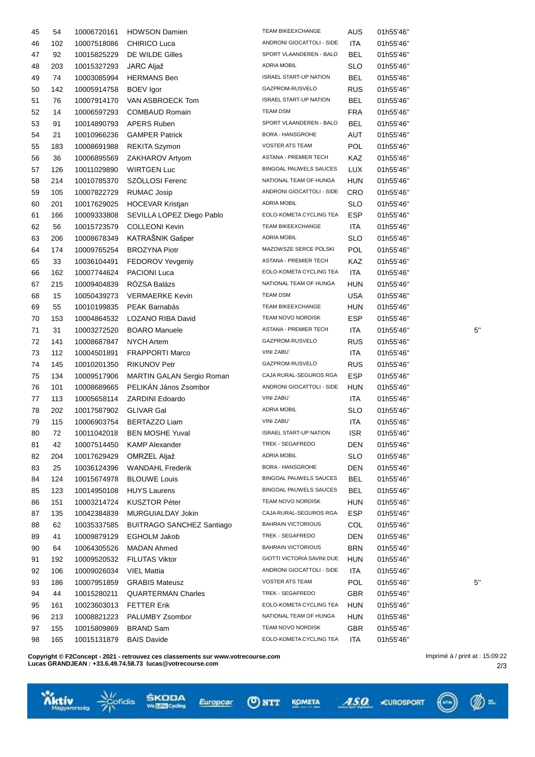| 45 | 54  | 10006720161 | <b>HOWSON Damien</b>                    | TEAM BIKEEXCHANGE             | AUS        | 01h55'46"              |    |
|----|-----|-------------|-----------------------------------------|-------------------------------|------------|------------------------|----|
| 46 | 102 | 10007518086 | <b>CHIRICO Luca</b>                     | ANDRONI GIOCATTOLI - SIDE     | ITA        | 01h55'46"              |    |
| 47 | 92  | 10015825229 | DE WILDE Gilles                         | SPORT VLAANDEREN - BALO       | BEL        | 01h55'46"              |    |
| 48 | 203 | 10015327293 | <b>JARC Aljaž</b>                       | <b>ADRIA MOBIL</b>            | <b>SLO</b> | 01h55'46"              |    |
| 49 | 74  | 10003085994 | <b>HERMANS Ben</b>                      | <b>ISRAEL START-UP NATION</b> | BEL        | 01h55'46"              |    |
| 50 | 142 | 10005914758 | <b>BOEV</b> Igor                        | GAZPROM-RUSVELO               | <b>RUS</b> | 01h55'46"              |    |
| 51 | 76  | 10007914170 | VAN ASBROECK Tom                        | <b>ISRAEL START-UP NATION</b> | BEL        | 01h55'46"              |    |
| 52 | 14  | 10006597293 | <b>COMBAUD Romain</b>                   | <b>TEAM DSM</b>               | <b>FRA</b> | 01h55'46"              |    |
| 53 | 91  | 10014890793 | APERS Ruben                             | SPORT VLAANDEREN - BALO       | BEL        | 01h55'46"              |    |
| 54 | 21  | 10010966236 | <b>GAMPER Patrick</b>                   | <b>BORA - HANSGROHE</b>       | AUT        | 01h55'46"              |    |
| 55 | 183 | 10008691988 | <b>REKITA Szymon</b>                    | <b>VOSTER ATS TEAM</b>        | <b>POL</b> | 01h55'46"              |    |
| 56 | 36  | 10006895569 | ZAKHAROV Artyom                         | ASTANA - PREMIER TECH         | KAZ        | 01h55'46"              |    |
| 57 | 126 | 10011029890 | <b>WIRTGEN Luc</b>                      | BINGOAL PAUWELS SAUCES        | <b>LUX</b> | 01h55'46"              |    |
| 58 | 214 | 10010785370 | SZÖLLOSI Ferenc                         | NATIONAL TEAM OF HUNGA        | <b>HUN</b> | 01h55'46"              |    |
| 59 | 105 | 10007822729 | <b>RUMAC Josip</b>                      | ANDRONI GIOCATTOLI - SIDE     | <b>CRO</b> | 01h55'46"              |    |
| 60 | 201 | 10017629025 | <b>HOCEVAR Kristjan</b>                 | <b>ADRIA MOBIL</b>            | <b>SLO</b> | 01h55'46"              |    |
| 61 | 166 | 10009333808 | SEVILLA LOPEZ Diego Pablo               | EOLO-KOMETA CYCLING TEA       | <b>ESP</b> | 01h55'46"              |    |
| 62 | 56  | 10015723579 | <b>COLLEONI Kevin</b>                   | TEAM BIKEEXCHANGE             | ITA        | 01h55'46"              |    |
| 63 | 206 | 10008678349 | KATRAŠNIK Gašper                        | <b>ADRIA MOBIL</b>            | <b>SLO</b> | 01h55'46"              |    |
| 64 | 174 | 10009765254 | <b>BROZYNA Piotr</b>                    | MAZOWSZE SERCE POLSKI         | POL        | 01h55'46"              |    |
|    | 33  |             |                                         | <b>ASTANA - PREMIER TECH</b>  | KAZ        |                        |    |
| 65 |     | 10036104491 | FEDOROV Yevgeniy<br><b>PACIONI Luca</b> | EOLO-KOMETA CYCLING TEA       | ITA        | 01h55'46"<br>01h55'46" |    |
| 66 | 162 | 10007744624 | RÓZSA Balázs                            | NATIONAL TEAM OF HUNGA        |            | 01h55'46"              |    |
| 67 | 215 | 10009404839 |                                         | <b>TEAM DSM</b>               | HUN        |                        |    |
| 68 | 15  | 10050439273 | <b>VERMAERKE Kevin</b>                  |                               | <b>USA</b> | 01h55'46"              |    |
| 69 | 55  | 10010199835 | PEAK Barnabás                           | <b>TEAM BIKEEXCHANGE</b>      | <b>HUN</b> | 01h55'46"              |    |
| 70 | 153 | 10004864532 | LOZANO RIBA David                       | TEAM NOVO NORDISK             | <b>ESP</b> | 01h55'46"              |    |
| 71 | 31  | 10003272520 | <b>BOARO</b> Manuele                    | ASTANA - PREMIER TECH         | <b>ITA</b> | 01h55'46"              | 5' |
| 72 | 141 | 10008687847 | <b>NYCH Artem</b>                       | GAZPROM-RUSVELO               | <b>RUS</b> | 01h55'46"              |    |
| 73 | 112 | 10004501891 | <b>FRAPPORTI Marco</b>                  | VINI ZABU`                    | <b>ITA</b> | 01h55'46"              |    |
| 74 | 145 | 10010201350 | <b>RIKUNOV Petr</b>                     | GAZPROM-RUSVELO               | <b>RUS</b> | 01h55'46"              |    |
| 75 | 134 | 10009517906 | MARTIN GALAN Sergio Roman               | CAJA RURAL-SEGUROS RGA        | <b>ESP</b> | 01h55'46"              |    |
| 76 | 101 | 10008689665 | PELIKÁN János Zsombor                   | ANDRONI GIOCATTOLI - SIDE     | <b>HUN</b> | 01h55'46"              |    |
| 77 | 113 | 10005658114 | <b>ZARDINI Edoardo</b>                  | VINI ZABU`                    | ITA        | 01h55'46"              |    |
| 78 | 202 | 10017587902 | <b>GLIVAR Gal</b>                       | <b>ADRIA MOBIL</b>            | SLO        | 01h55'46"              |    |
| 79 | 115 | 10006903754 | <b>BERTAZZO Liam</b>                    | VINI ZABU`                    | ITA        | 01h55'46"              |    |
| 80 | 72  | 10011042018 | <b>BEN MOSHE Yuval</b>                  | <b>ISRAEL START-UP NATION</b> | <b>ISR</b> | 01h55'46"              |    |
| 81 | 42  | 10007514450 | <b>KAMP Alexander</b>                   | TREK - SEGAFREDO              | DEN        | 01h55'46"              |    |
| 82 | 204 | 10017629429 | OMRZEL Aljaž                            | ADRIA MOBIL                   | <b>SLO</b> | 01h55'46"              |    |
| 83 | 25  | 10036124396 | <b>WANDAHL Frederik</b>                 | BORA - HANSGROHE              | <b>DEN</b> | 01h55'46"              |    |
| 84 | 124 | 10015674978 | <b>BLOUWE Louis</b>                     | <b>BINGOAL PAUWELS SAUCES</b> | <b>BEL</b> | 01h55'46"              |    |
| 85 | 123 | 10014950108 | <b>HUYS Laurens</b>                     | <b>BINGOAL PAUWELS SAUCES</b> | <b>BEL</b> | 01h55'46"              |    |
| 86 | 151 | 10003214724 | KUSZTOR Péter                           | TEAM NOVO NORDISK             | HUN        | 01h55'46"              |    |
| 87 | 135 | 10042384839 | MURGUIALDAY Jokin                       | CAJA RURAL-SEGUROS RGA        | <b>ESP</b> | 01h55'46"              |    |
| 88 | 62  | 10035337585 | <b>BUITRAGO SANCHEZ Santiago</b>        | <b>BAHRAIN VICTORIOUS</b>     | COL        | 01h55'46"              |    |
| 89 | 41  | 10009879129 | <b>EGHOLM Jakob</b>                     | TREK - SEGAFREDO              | <b>DEN</b> | 01h55'46"              |    |
| 90 | 64  | 10064305526 | MADAN Ahmed                             | <b>BAHRAIN VICTORIOUS</b>     | BRN        | 01h55'46"              |    |
| 91 | 192 | 10009520532 | <b>FILUTAS Viktor</b>                   | GIOTTI VICTORIA SAVINI DUE    | <b>HUN</b> | 01h55'46"              |    |
| 92 | 106 | 10009026034 | VIEL Mattia                             | ANDRONI GIOCATTOLI - SIDE     | ITA        | 01h55'46"              |    |
| 93 | 186 | 10007951859 | <b>GRABIS Mateusz</b>                   | <b>VOSTER ATS TEAM</b>        | <b>POL</b> | 01h55'46"              | 5' |
| 94 | 44  | 10015280211 | <b>QUARTERMAN Charles</b>               | TREK - SEGAFREDO              | GBR        | 01h55'46"              |    |
| 95 | 161 | 10023603013 | <b>FETTER Erik</b>                      | EOLO-KOMETA CYCLING TEA       | <b>HUN</b> | 01h55'46"              |    |
| 96 | 213 | 10008821223 | PALUMBY Zsombor                         | NATIONAL TEAM OF HUNGA        | HUN        | 01h55'46"              |    |
| 97 | 155 | 10015809869 | <b>BRAND Sam</b>                        | TEAM NOVO NORDISK             | <b>GBR</b> | 01h55'46"              |    |
| 98 | 165 | 10015131879 | <b>BAIS Davide</b>                      | EOLO-KOMETA CYCLING TEA       | ITA        | 01h55'46"              |    |
|    |     |             |                                         |                               |            |                        |    |

Imprimé à / print at : 15:09:22

2/3

**Copyright © F2Concept - 2021 - retrouvez ces classements sur www.votrecourse.com Lucas GRANDJEAN : +33.6.49.74.58.73 lucas@votrecourse.com**

**White** xuito



**ONTT** Europear



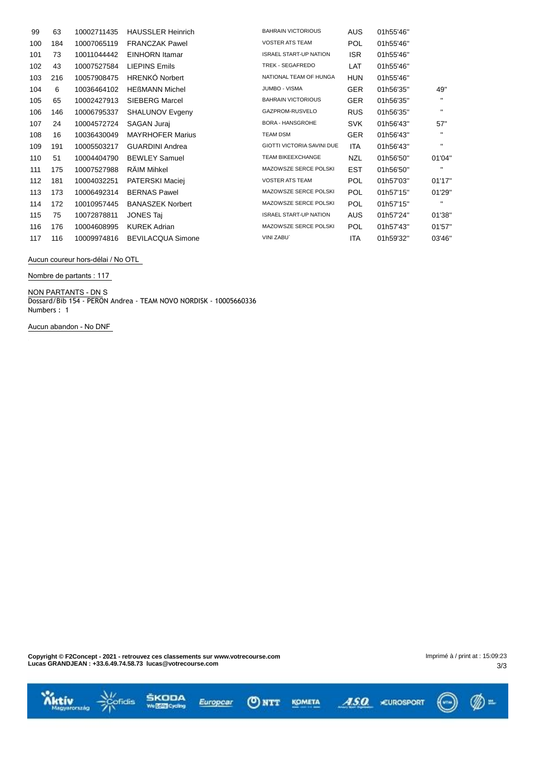| 99  | 63  | 10002711435 | <b>HAUSSLER Heinrich</b> | <b>BAHRAIN VICTORIOUS</b>         | <b>AUS</b> | 01h55'46" |              |
|-----|-----|-------------|--------------------------|-----------------------------------|------------|-----------|--------------|
| 100 | 184 | 10007065119 | <b>FRANCZAK Pawel</b>    | <b>VOSTER ATS TEAM</b>            | <b>POL</b> | 01h55'46" |              |
| 101 | 73  | 10011044442 | <b>EINHORN</b> Itamar    | <b>ISRAEL START-UP NATION</b>     | ISR.       | 01h55'46" |              |
| 102 | 43  | 10007527584 | <b>LIEPINS Emils</b>     | TREK - SEGAFREDO                  | LAT        | 01h55'46" |              |
| 103 | 216 | 10057908475 | <b>HRENKÓ Norbert</b>    | NATIONAL TEAM OF HUNGA            | <b>HUN</b> | 01h55'46" |              |
| 104 | 6   | 10036464102 | <b>HEBMANN Michel</b>    | JUMBO - VISMA                     | <b>GER</b> | 01h56'35" | 49"          |
| 105 | 65  | 10002427913 | <b>SIEBERG Marcel</b>    | <b>BAHRAIN VICTORIOUS</b>         | <b>GER</b> | 01h56'35" | $\mathbf{H}$ |
| 106 | 146 | 10006795337 | <b>SHALUNOV Evgeny</b>   | GAZPROM-RUSVELO                   | <b>RUS</b> | 01h56'35" | $\mathbf{H}$ |
| 107 | 24  | 10004572724 | <b>SAGAN Jurai</b>       | <b>BORA - HANSGROHE</b>           | <b>SVK</b> | 01h56'43" | 57"          |
| 108 | 16  | 10036430049 | <b>MAYRHOFER Marius</b>  | <b>TEAM DSM</b>                   | <b>GER</b> | 01h56'43" | $\mathbf{H}$ |
| 109 | 191 | 10005503217 | <b>GUARDINI Andrea</b>   | <b>GIOTTI VICTORIA SAVINI DUE</b> | <b>ITA</b> | 01h56'43" | $\mathbf{H}$ |
| 110 | 51  | 10004404790 | <b>BEWLEY Samuel</b>     | <b>TEAM BIKEEXCHANGE</b>          | NZL        | 01h56'50" | 01'04'       |
| 111 | 175 | 10007527988 | RÄIM Mihkel              | MAZOWSZE SERCE POLSKI             | <b>EST</b> | 01h56'50" | $\mathbf{H}$ |
| 112 | 181 | 10004032251 | PATERSKI Maciej          | <b>VOSTER ATS TEAM</b>            | <b>POL</b> | 01h57'03" | 01'17'       |
| 113 | 173 | 10006492314 | <b>BERNAS Pawel</b>      | MAZOWSZE SERCE POLSKI             | <b>POL</b> | 01h57'15" | 01'29'       |
| 114 | 172 | 10010957445 | <b>BANASZEK Norbert</b>  | MAZOWSZE SERCE POLSKI             | POL.       | 01h57'15" | $\mathbf{H}$ |
| 115 | 75  | 10072878811 | <b>JONES Taj</b>         | <b>ISRAEL START-UP NATION</b>     | <b>AUS</b> | 01h57'24" | 01'38'       |
| 116 | 176 | 10004608995 | <b>KUREK Adrian</b>      | MAZOWSZE SERCE POLSKI             | <b>POL</b> | 01h57'43" | 01'57'       |
| 117 | 116 | 10009974816 | <b>BEVILACQUA Simone</b> | VINI ZABU`                        | <b>ITA</b> | 01h59'32" | 03'46'       |

**Aucun coureur hors-délai / No OTL**

**Nombre de partants : 117**

**NON PARTANTS - DN** S

Dossard/Bib 154 - PERON Andrea - TEAM NOVO NORDISK - 10005660336 Numbers : 1

**Aucun abandon - No DNF**

 $\bar{z}$ 

**Copyright © F2Concept - 2021 - retrouvez ces classements sur www.votrecourse.com Lucas GRANDJEAN : +33.6.49.74.58.73 lucas@votrecourse.com**

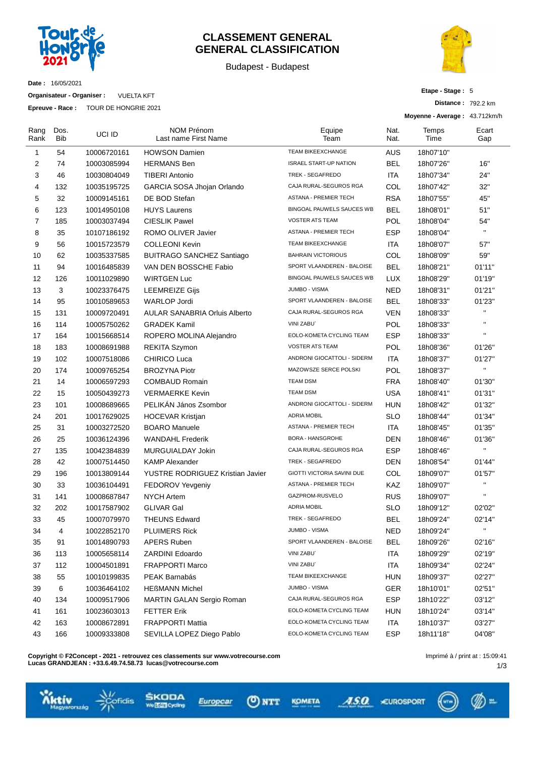

### **CLASSEMENT GENERAL GENERAL CLASSIFICATION**

Budapest - Budapest



**Date :** 16/05/2021

**Organisateur - Organiser :** VUELTA KFT

**Epreuve - Race :** TOUR DE HONGRIE 2021

| Etape - Stage: 5 |  |
|------------------|--|
|------------------|--|

**Distance :** 792.2 km

**Moyenne - Average :** 43.712km/h

| Rang<br>Rank   | Dos.<br>Bib | UCI ID      | <b>NOM Prénom</b><br>Last name First Name | Equipe<br>Team                | Nat.<br>Nat. | Temps<br>Time | Ecart<br>Gap |
|----------------|-------------|-------------|-------------------------------------------|-------------------------------|--------------|---------------|--------------|
| 1              | 54          | 10006720161 | <b>HOWSON Damien</b>                      | <b>TEAM BIKEEXCHANGE</b>      | AUS          | 18h07'10"     |              |
| 2              | 74          | 10003085994 | <b>HERMANS Ben</b>                        | <b>ISRAEL START-UP NATION</b> | <b>BEL</b>   | 18h07'26"     | 16"          |
| 3              | 46          | 10030804049 | <b>TIBERI Antonio</b>                     | TREK - SEGAFREDO              | <b>ITA</b>   | 18h07'34"     | 24"          |
| 4              | 132         | 10035195725 | GARCIA SOSA Jhojan Orlando                | CAJA RURAL-SEGUROS RGA        | COL          | 18h07'42"     | 32"          |
| 5              | 32          | 10009145161 | DE BOD Stefan                             | <b>ASTANA - PREMIER TECH</b>  | <b>RSA</b>   | 18h07'55"     | 45"          |
| 6              | 123         | 10014950108 | <b>HUYS Laurens</b>                       | BINGOAL PAUWELS SAUCES WB     | <b>BEL</b>   | 18h08'01"     | 51"          |
| $\overline{7}$ | 185         | 10003037494 | <b>CIESLIK Pawel</b>                      | <b>VOSTER ATS TEAM</b>        | <b>POL</b>   | 18h08'04"     | 54"          |
| 8              | 35          | 10107186192 | ROMO OLIVER Javier                        | ASTANA - PREMIER TECH         | <b>ESP</b>   | 18h08'04"     | $\mathbf{u}$ |
| 9              | 56          | 10015723579 | <b>COLLEONI Kevin</b>                     | <b>TEAM BIKEEXCHANGE</b>      | <b>ITA</b>   | 18h08'07"     | 57"          |
| 10             | 62          | 10035337585 | <b>BUITRAGO SANCHEZ Santiago</b>          | <b>BAHRAIN VICTORIOUS</b>     | COL          | 18h08'09"     | 59"          |
| 11             | 94          | 10016485839 | VAN DEN BOSSCHE Fabio                     | SPORT VLAANDEREN - BALOISE    | <b>BEL</b>   | 18h08'21"     | 01'11"       |
| 12             | 126         | 10011029890 | <b>WIRTGEN Luc</b>                        | BINGOAL PAUWELS SAUCES WB     | <b>LUX</b>   | 18h08'29"     | 01'19"       |
| 13             | 3           | 10023376475 | <b>LEEMREIZE Gijs</b>                     | JUMBO - VISMA                 | <b>NED</b>   | 18h08'31"     | 01'21"       |
| 14             | 95          | 10010589653 | <b>WARLOP Jordi</b>                       | SPORT VLAANDEREN - BALOISE    | <b>BEL</b>   | 18h08'33"     | 01'23"       |
| 15             | 131         | 10009720491 | <b>AULAR SANABRIA Orluis Alberto</b>      | CAJA RURAL-SEGUROS RGA        | <b>VEN</b>   | 18h08'33"     | $\mathbf{H}$ |
| 16             | 114         | 10005750262 | <b>GRADEK Kamil</b>                       | <b>VINI ZABU</b>              | POL          | 18h08'33"     | H,           |
| 17             | 164         | 10015668514 | ROPERO MOLINA Alejandro                   | EOLO-KOMETA CYCLING TEAM      | <b>ESP</b>   | 18h08'33"     | $\mathbf{u}$ |
| 18             | 183         | 10008691988 | <b>REKITA Szymon</b>                      | <b>VOSTER ATS TEAM</b>        | POL          | 18h08'36"     | 01'26"       |
| 19             | 102         | 10007518086 | <b>CHIRICO Luca</b>                       | ANDRONI GIOCATTOLI - SIDERM   | <b>ITA</b>   | 18h08'37"     | 01'27"       |
| 20             | 174         | 10009765254 | <b>BROZYNA Piotr</b>                      | MAZOWSZE SERCE POLSKI         | POL          | 18h08'37"     | $\mathbf{u}$ |
| 21             | 14          | 10006597293 | <b>COMBAUD Romain</b>                     | <b>TEAM DSM</b>               | <b>FRA</b>   | 18h08'40"     | 01'30"       |
| 22             | 15          | 10050439273 | <b>VERMAERKE Kevin</b>                    | <b>TEAM DSM</b>               | <b>USA</b>   | 18h08'41"     | 01'31"       |
| 23             | 101         | 10008689665 | PELIKÁN János Zsombor                     | ANDRONI GIOCATTOLI - SIDERM   | <b>HUN</b>   | 18h08'42"     | 01'32"       |
| 24             | 201         | 10017629025 | HOCEVAR Kristjan                          | <b>ADRIA MOBIL</b>            | <b>SLO</b>   | 18h08'44"     | 01'34"       |
| 25             | 31          | 10003272520 | <b>BOARO</b> Manuele                      | <b>ASTANA - PREMIER TECH</b>  | <b>ITA</b>   | 18h08'45"     | 01'35"       |
| 26             | 25          | 10036124396 | <b>WANDAHL Frederik</b>                   | <b>BORA - HANSGROHE</b>       | DEN          | 18h08'46"     | 01'36"       |
| 27             | 135         | 10042384839 | MURGUIALDAY Jokin                         | CAJA RURAL-SEGUROS RGA        | <b>ESP</b>   | 18h08'46"     | $\mathbf{u}$ |
| 28             | 42          | 10007514450 | <b>KAMP Alexander</b>                     | TREK - SEGAFREDO              | <b>DEN</b>   | 18h08'54"     | 01'44"       |
| 29             | 196         | 10013809144 | YUSTRE RODRIGUEZ Kristian Javier          | GIOTTI VICTORIA SAVINI DUE    | COL          | 18h09'07"     | 01'57"       |
| 30             | 33          | 10036104491 | FEDOROV Yevgeniy                          | <b>ASTANA - PREMIER TECH</b>  | KAZ          | 18h09'07"     | $\mathbf{H}$ |
| 31             | 141         | 10008687847 | <b>NYCH Artem</b>                         | GAZPROM-RUSVELO               | <b>RUS</b>   | 18h09'07"     | $\mathbf{u}$ |
| 32             | 202         | 10017587902 | <b>GLIVAR Gal</b>                         | <b>ADRIA MOBIL</b>            | <b>SLO</b>   | 18h09'12"     | 02'02"       |
| 33             | 45          | 10007079970 | <b>THEUNS Edward</b>                      | TREK - SEGAFREDO              | <b>BEL</b>   | 18h09'24"     | 02'14"       |
| 34             | 4           | 10022852170 | <b>PLUIMERS Rick</b>                      | JUMBO - VISMA                 | <b>NED</b>   | 18h09'24"     |              |
| 35             | 91          | 10014890793 | APERS Ruben                               | SPORT VLAANDEREN - BALOISE    | BEL          | 18h09'26"     | 02'16"       |
| 36             | 113         | 10005658114 | <b>ZARDINI Edoardo</b>                    | VINI ZABU`                    | <b>ITA</b>   | 18h09'29"     | 02'19"       |
| 37             | 112         | 10004501891 | <b>FRAPPORTI Marco</b>                    | VINI ZABU`                    | ITA          | 18h09'34"     | 02'24"       |
| 38             | 55          | 10010199835 | PEAK Barnabás                             | TEAM BIKEEXCHANGE             | <b>HUN</b>   | 18h09'37"     | 02'27"       |
| 39             | 6           | 10036464102 | <b>HEßMANN Michel</b>                     | JUMBO - VISMA                 | <b>GER</b>   | 18h10'01"     | 02'51"       |
| 40             | 134         | 10009517906 | MARTIN GALAN Sergio Roman                 | CAJA RURAL-SEGUROS RGA        | <b>ESP</b>   | 18h10'22"     | 03'12"       |
| 41             | 161         | 10023603013 | <b>FETTER Erik</b>                        | EOLO-KOMETA CYCLING TEAM      | HUN          | 18h10'24"     | 03'14"       |
| 42             | 163         | 10008672891 | <b>FRAPPORTI Mattia</b>                   | EOLO-KOMETA CYCLING TEAM      | ITA          | 18h10'37"     | 03'27"       |
| 43             | 166         | 10009333808 | SEVILLA LOPEZ Diego Pablo                 | EOLO-KOMETA CYCLING TEAM      | <b>ESP</b>   | 18h11'18"     | 04'08"       |
|                |             |             |                                           |                               |              |               |              |

**Copyright © F2Concept - 2021 - retrouvez ces classements sur www.votrecourse.com Lucas GRANDJEAN : +33.6.49.74.58.73 lucas@votrecourse.com**

fidis

m.

ASO CUROSPORT



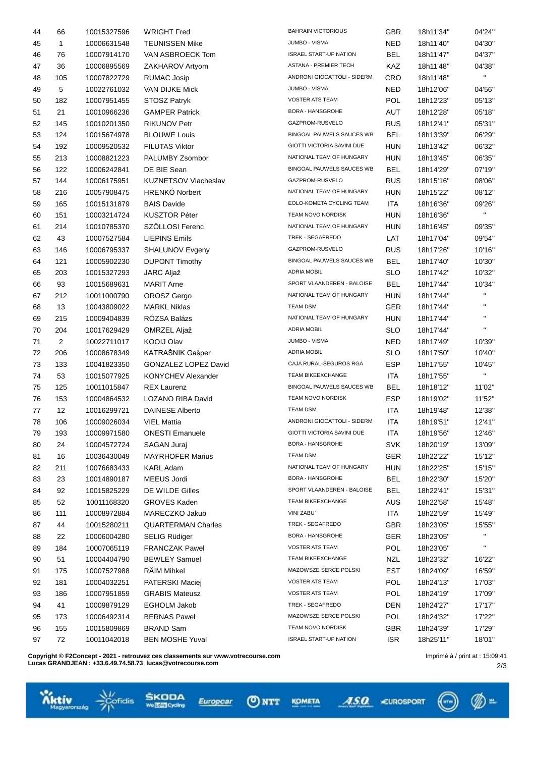| 44 | 66  | 10015327596 | <b>WRIGHT Fred</b>                 | <b>BAHRAIN VICTORIOUS</b>     | <b>GBR</b> | 18h11'34" | 04'24"                 |
|----|-----|-------------|------------------------------------|-------------------------------|------------|-----------|------------------------|
| 45 | 1   | 10006631548 | <b>TEUNISSEN Mike</b>              | <b>JUMBO - VISMA</b>          | <b>NED</b> | 18h11'40" | 04'30"                 |
| 46 | 76  | 10007914170 | VAN ASBROECK Tom                   | <b>ISRAEL START-UP NATION</b> | <b>BEL</b> | 18h11'47" | 04'37"                 |
| 47 | 36  | 10006895569 | ZAKHAROV Artyom                    | ASTANA - PREMIER TECH         | KAZ        | 18h11'48" | 04'38"                 |
| 48 | 105 | 10007822729 | <b>RUMAC Josip</b>                 | ANDRONI GIOCATTOLI - SIDERM   | <b>CRO</b> | 18h11'48" | $\mathbf{H}$           |
| 49 | 5   | 10022761032 | VAN DIJKE Mick                     | JUMBO - VISMA                 | <b>NED</b> | 18h12'06" | 04'56"                 |
| 50 | 182 | 10007951455 | <b>STOSZ Patryk</b>                | <b>VOSTER ATS TEAM</b>        | POL        | 18h12'23" | 05'13"                 |
| 51 | 21  | 10010966236 | <b>GAMPER Patrick</b>              | <b>BORA - HANSGROHE</b>       | AUT        | 18h12'28" | 05'18"                 |
| 52 | 145 | 10010201350 | <b>RIKUNOV Petr</b>                | GAZPROM-RUSVELO               | <b>RUS</b> | 18h12'41" | 05'31"                 |
| 53 | 124 | 10015674978 | <b>BLOUWE Louis</b>                | BINGOAL PAUWELS SAUCES WB     | <b>BEL</b> | 18h13'39" | 06'29"                 |
| 54 | 192 | 10009520532 | <b>FILUTAS Viktor</b>              | GIOTTI VICTORIA SAVINI DUE    | <b>HUN</b> | 18h13'42" | 06'32"                 |
| 55 | 213 | 10008821223 | PALUMBY Zsombor                    | NATIONAL TEAM OF HUNGARY      | <b>HUN</b> | 18h13'45" | 06'35"                 |
| 56 | 122 | 10006242841 | DE BIE Sean                        | BINGOAL PAUWELS SAUCES WB     | <b>BEL</b> | 18h14'29" | 07'19"                 |
| 57 | 144 | 10006175951 | <b>KUZNETSOV Viacheslav</b>        | GAZPROM-RUSVELO               | <b>RUS</b> | 18h15'16" | 08'06"                 |
| 58 | 216 | 10057908475 | HRENKÓ Norbert                     | NATIONAL TEAM OF HUNGARY      | <b>HUN</b> | 18h15'22" | 08'12"                 |
| 59 | 165 | 10015131879 | <b>BAIS Davide</b>                 | EOLO-KOMETA CYCLING TEAM      | <b>ITA</b> | 18h16'36" | 09'26"                 |
| 60 | 151 | 10003214724 | <b>KUSZTOR Péter</b>               | TEAM NOVO NORDISK             | <b>HUN</b> | 18h16'36" | $\mathbf{H}$           |
| 61 | 214 | 10010785370 | SZÖLLOSI Ferenc                    | NATIONAL TEAM OF HUNGARY      | <b>HUN</b> | 18h16'45" | 09'35"                 |
| 62 | 43  | 10007527584 | <b>LIEPINS Emils</b>               | TREK - SEGAFREDO              | LAT        | 18h17'04" | 09'54"                 |
| 63 | 146 | 10006795337 | SHALUNOV Evgeny                    | GAZPROM-RUSVELO               | <b>RUS</b> | 18h17'26" | 10'16"                 |
| 64 | 121 | 10005902230 | <b>DUPONT Timothy</b>              | BINGOAL PAUWELS SAUCES WB     | <b>BEL</b> | 18h17'40" | 10'30"                 |
| 65 | 203 | 10015327293 | JARC Aljaž                         | <b>ADRIA MOBIL</b>            | <b>SLO</b> | 18h17'42" | 10'32"                 |
| 66 | 93  | 10015689631 | <b>MARIT Arne</b>                  | SPORT VLAANDEREN - BALOISE    | <b>BEL</b> | 18h17'44" | 10'34"                 |
|    | 212 |             |                                    | NATIONAL TEAM OF HUNGARY      | <b>HUN</b> | 18h17'44" | $\mathbf{H}$           |
| 67 | 13  | 10011000790 | OROSZ Gergo<br><b>MARKL Niklas</b> | <b>TEAM DSM</b>               | <b>GER</b> |           | $\mathbf{H}$           |
| 68 |     | 10043809022 |                                    | NATIONAL TEAM OF HUNGARY      |            | 18h17'44" | $\mathbf{H}$           |
| 69 | 215 | 10009404839 | RÓZSA Balázs                       | ADRIA MOBIL                   | <b>HUN</b> | 18h17'44" | $\mathbf{H}$           |
| 70 | 204 | 10017629429 | OMRZEL Aljaž                       | JUMBO - VISMA                 | <b>SLO</b> | 18h17'44" |                        |
| 71 | 2   | 10022711017 | KOOIJ Olav                         |                               | <b>NED</b> | 18h17'49" | 10'39"                 |
| 72 | 206 | 10008678349 | KATRAŠNIK Gašper                   | <b>ADRIA MOBIL</b>            | <b>SLO</b> | 18h17'50" | 10'40"                 |
| 73 | 133 | 10041823350 | <b>GONZALEZ LOPEZ David</b>        | CAJA RURAL-SEGUROS RGA        | <b>ESP</b> | 18h17'55" | 10'45"<br>$\mathbf{H}$ |
| 74 | 53  | 10015077925 | <b>KONYCHEV Alexander</b>          | TEAM BIKEEXCHANGE             | <b>ITA</b> | 18h17'55" |                        |
| 75 | 125 | 10011015847 | <b>REX Laurenz</b>                 | BINGOAL PAUWELS SAUCES WB     | <b>BEL</b> | 18h18'12" | 11'02"                 |
| 76 | 153 | 10004864532 | LOZANO RIBA David                  | TEAM NOVO NORDISK             | <b>ESP</b> | 18h19'02" | 11'52"                 |
| 77 | 12  | 10016299721 | <b>DAINESE Alberto</b>             | <b>TEAM DSM</b>               | <b>ITA</b> | 18h19'48" | 12'38"                 |
| 78 | 106 | 10009026034 | <b>VIEL Mattia</b>                 | ANDRONI GIOCATTOLI - SIDERM   | ITA        | 18h19'51" | 12'41"                 |
| 79 | 193 | 10009971580 | <b>ONESTI Emanuele</b>             | GIOTTI VICTORIA SAVINI DUE    | <b>ITA</b> | 18h19'56" | 12'46"                 |
| 80 | 24  | 10004572724 | SAGAN Juraj                        | <b>BORA - HANSGROHE</b>       | <b>SVK</b> | 18h20'19" | 13'09"                 |
| 81 | 16  | 10036430049 | <b>MAYRHOFER Marius</b>            | <b>TEAM DSM</b>               | <b>GER</b> | 18h22'22" | 15'12"                 |
| 82 | 211 | 10076683433 | <b>KARL Adam</b>                   | NATIONAL TEAM OF HUNGARY      | <b>HUN</b> | 18h22'25" | 15'15"                 |
| 83 | 23  | 10014890187 | MEEUS Jordi                        | <b>BORA - HANSGROHE</b>       | <b>BEL</b> | 18h22'30" | 15'20"                 |
| 84 | 92  | 10015825229 | DE WILDE Gilles                    | SPORT VLAANDEREN - BALOISE    | <b>BEL</b> | 18h22'41" | 15'31"                 |
| 85 | 52  | 10011168320 | <b>GROVES Kaden</b>                | TEAM BIKEEXCHANGE             | AUS        | 18h22'58" | 15'48"                 |
| 86 | 111 | 10008972884 | MARECZKO Jakub                     | VINI ZABU`                    | ITA        | 18h22'59" | 15'49"                 |
| 87 | 44  | 10015280211 | <b>QUARTERMAN Charles</b>          | TREK - SEGAFREDO              | <b>GBR</b> | 18h23'05" | 15'55"                 |
| 88 | 22  | 10006004280 | SELIG Rüdiger                      | <b>BORA - HANSGROHE</b>       | <b>GER</b> | 18h23'05" | $\mathbf{H}$           |
| 89 | 184 | 10007065119 | <b>FRANCZAK Pawel</b>              | <b>VOSTER ATS TEAM</b>        | <b>POL</b> | 18h23'05" | н.                     |
| 90 | 51  | 10004404790 | <b>BEWLEY Samuel</b>               | TEAM BIKEEXCHANGE             | <b>NZL</b> | 18h23'32" | 16'22"                 |
| 91 | 175 | 10007527988 | RÄIM Mihkel                        | MAZOWSZE SERCE POLSKI         | <b>EST</b> | 18h24'09" | 16'59"                 |
| 92 | 181 | 10004032251 | PATERSKI Maciej                    | <b>VOSTER ATS TEAM</b>        | <b>POL</b> | 18h24'13" | 17'03"                 |
| 93 | 186 | 10007951859 | <b>GRABIS Mateusz</b>              | <b>VOSTER ATS TEAM</b>        | <b>POL</b> | 18h24'19" | 17'09"                 |
| 94 | 41  | 10009879129 | EGHOLM Jakob                       | TREK - SEGAFREDO              | <b>DEN</b> | 18h24'27" | 17'17"                 |
| 95 | 173 | 10006492314 | <b>BERNAS Pawel</b>                | MAZOWSZE SERCE POLSKI         | <b>POL</b> | 18h24'32" | 17'22"                 |
| 96 | 155 | 10015809869 | <b>BRAND Sam</b>                   | TEAM NOVO NORDISK             | <b>GBR</b> | 18h24'39" | 17'29"                 |
| 97 | 72  | 10011042018 | <b>BEN MOSHE Yuval</b>             | <b>ISRAEL START-UP NATION</b> | <b>ISR</b> | 18h25'11" | 18'01"                 |
|    |     |             |                                    |                               |            |           |                        |

 $Q$  NTT

Europcar

KOMETA

ASO CUROSPORT

**Copyright © F2Concept - 2021 - retrouvez ces classements sur www.votrecourse.com Lucas GRANDJEAN : +33.6.49.74.58.73 lucas@votrecourse.com**

ŠKODA<br>**WEB**oda

 $\frac{\sqrt{7}}{2}$ 

**Wittiv** 



 $(\lnot)$ 

 $\mathcal{D}$  =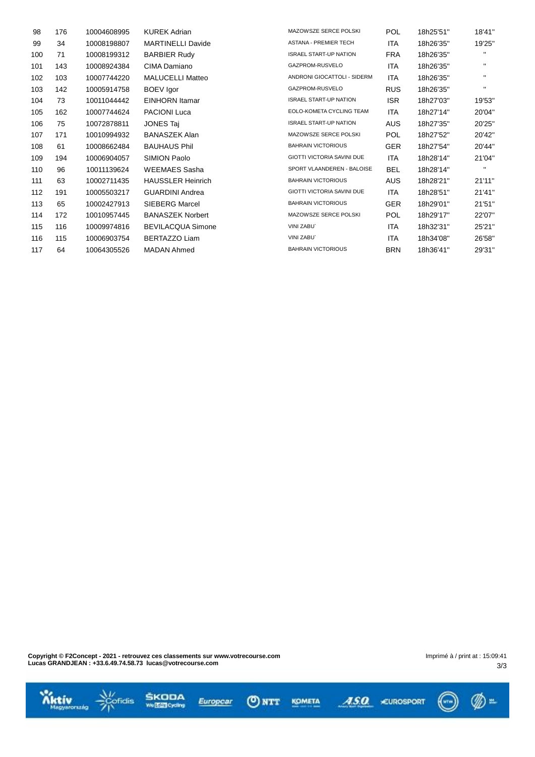| 176 | 10004608995 | <b>KUREK Adrian</b>      | MAZOWSZE SERCE POLSKI             | <b>POL</b> | 18h25'51" | 18'41"       |
|-----|-------------|--------------------------|-----------------------------------|------------|-----------|--------------|
| 34  | 10008198807 | <b>MARTINELLI Davide</b> | <b>ASTANA - PREMIER TECH</b>      | ITA        | 18h26'35" | 19'25"       |
| 71  | 10008199312 | <b>BARBIER Rudy</b>      | <b>ISRAEL START-UP NATION</b>     | <b>FRA</b> | 18h26'35" | н.           |
| 143 | 10008924384 | CIMA Damiano             | GAZPROM-RUSVELO                   | ITA        | 18h26'35" | п.           |
| 103 | 10007744220 | <b>MALUCELLI Matteo</b>  | ANDRONI GIOCATTOLI - SIDERM       | <b>ITA</b> | 18h26'35" | п.           |
| 142 | 10005914758 | <b>BOEV</b> Igor         | GAZPROM-RUSVELO                   | <b>RUS</b> | 18h26'35" | п.           |
| 73  | 10011044442 | <b>EINHORN</b> Itamar    | <b>ISRAEL START-UP NATION</b>     | <b>ISR</b> | 18h27'03" | 19'53"       |
| 162 | 10007744624 | <b>PACIONI Luca</b>      | EOLO-KOMETA CYCLING TEAM          | <b>ITA</b> | 18h27'14" | 20'04"       |
| 75  | 10072878811 | <b>JONES Taj</b>         | <b>ISRAEL START-UP NATION</b>     | AUS        | 18h27'35" | 20'25"       |
| 171 | 10010994932 | <b>BANASZEK Alan</b>     | MAZOWSZE SERCE POLSKI             | <b>POL</b> | 18h27'52" | 20'42"       |
| 61  | 10008662484 | <b>BAUHAUS Phil</b>      | <b>BAHRAIN VICTORIOUS</b>         | <b>GER</b> | 18h27'54" | 20'44"       |
| 194 | 10006904057 | SIMION Paolo             | GIOTTI VICTORIA SAVINI DUE        | ITA        | 18h28'14" | 21'04"       |
| 96  | 10011139624 | <b>WEEMAES Sasha</b>     | SPORT VLAANDEREN - BALOISE        | BEL        | 18h28'14" | $\mathbf{H}$ |
| 63  | 10002711435 | <b>HAUSSLER Heinrich</b> | <b>BAHRAIN VICTORIOUS</b>         | AUS        | 18h28'21" | 21'11"       |
| 191 | 10005503217 | <b>GUARDINI Andrea</b>   | <b>GIOTTI VICTORIA SAVINI DUE</b> | ITA        | 18h28'51" | 21'41"       |
| 65  | 10002427913 | <b>SIEBERG Marcel</b>    | <b>BAHRAIN VICTORIOUS</b>         | <b>GER</b> | 18h29'01" | 21'51"       |
| 172 | 10010957445 | <b>BANASZEK Norbert</b>  | MAZOWSZE SERCE POLSKI             | <b>POL</b> | 18h29'17" | 22'07"       |
| 116 | 10009974816 | <b>BEVILACQUA Simone</b> | VINI ZABU`                        | ITA        | 18h32'31" | 25'21"       |
| 115 | 10006903754 | BERTAZZO Liam            | <b>VINI ZABU</b>                  | ITA        | 18h34'08" | 26'58"       |
| 64  | 10064305526 | <b>MADAN Ahmed</b>       | <b>BAHRAIN VICTORIOUS</b>         | <b>BRN</b> | 18h36'41" | 29'31"       |
|     |             |                          |                                   |            |           |              |

**Copyright © F2Concept - 2021 - retrouvez ces classements sur www.votrecourse.com Lucas GRANDJEAN : +33.6.49.74.58.73 lucas@votrecourse.com**

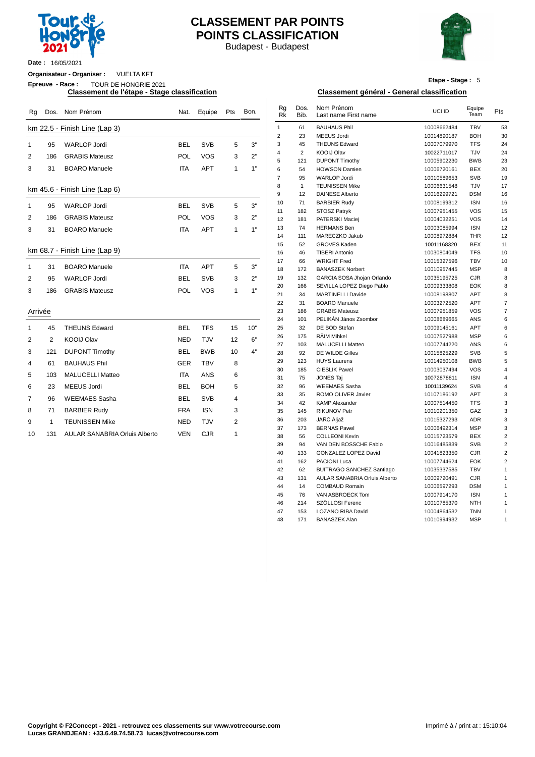

## **CLASSEMENT PAR POINTS POINTS CLASSIFICATION**

Budapest - Budapest



**Date :** 16/05/2021

**Organisateur - Organiser :** VUELTA KFT

**Epreuve - Race :** TOUR DE HONGRIE 2021

| Rg             |              | Dos. Nom Prénom                      | Nat.       | Equipe     | Pts            | Bon. | Rg<br><b>Rk</b> | Dos.<br>Bib.   | Nom Prénom<br>Last name First name | UCI ID      | Equipe<br>Team | Pts            |
|----------------|--------------|--------------------------------------|------------|------------|----------------|------|-----------------|----------------|------------------------------------|-------------|----------------|----------------|
|                |              | km 22.5 - Finish Line (Lap 3)        |            |            |                |      | $\mathbf{1}$    | 61             | <b>BAUHAUS Phil</b>                | 10008662484 | <b>TBV</b>     | 53             |
|                |              |                                      |            |            |                |      | $\overline{2}$  | 23             | <b>MEEUS Jordi</b>                 | 10014890187 | <b>BOH</b>     | 30             |
| $\mathbf{1}$   | 95           | <b>WARLOP Jordi</b>                  | <b>BEL</b> | <b>SVB</b> | 5              | 3"   | 3               | 45             | <b>THEUNS Edward</b>               | 10007079970 | <b>TFS</b>     | $2\ell$        |
| 2              | 186          | <b>GRABIS Mateusz</b>                | POL        | <b>VOS</b> | 3              | 2"   | 4               | $\overline{2}$ | <b>KOOIJ Olav</b>                  | 10022711017 | TJV            | 24             |
|                |              |                                      |            |            |                |      | 5               | 121            | <b>DUPONT Timothy</b>              | 10005902230 | <b>BWB</b>     | 23             |
| 3              | 31           | <b>BOARO</b> Manuele                 | <b>ITA</b> | <b>APT</b> | $\mathbf{1}$   | 1"   | 6               | 54             | <b>HOWSON Damien</b>               | 10006720161 | <b>BEX</b>     | 20             |
|                |              |                                      |            |            |                |      | $\overline{7}$  | 95             | <b>WARLOP Jordi</b>                | 10010589653 | <b>SVB</b>     | 19             |
|                |              | km 45.6 - Finish Line (Lap 6)        |            |            |                |      | 8               | $\mathbf{1}$   | <b>TEUNISSEN Mike</b>              | 10006631548 | TJV            | 17             |
|                |              |                                      |            |            |                |      | 9               | 12             | <b>DAINESE Alberto</b>             | 10016299721 | <b>DSM</b>     | 16             |
| $\mathbf{1}$   | 95           | <b>WARLOP Jordi</b>                  | <b>BEL</b> | <b>SVB</b> | 5              | 3"   | 10              | 71             | <b>BARBIER Rudy</b>                | 10008199312 | <b>ISN</b>     | 16             |
|                |              |                                      |            |            |                |      | 11              | 182            | <b>STOSZ Patryk</b>                | 10007951455 | <b>VOS</b>     | 15             |
| 2              | 186          | <b>GRABIS Mateusz</b>                | POL        | <b>VOS</b> | 3              | 2"   | 12              | 181            | PATERSKI Maciej                    | 10004032251 | <b>VOS</b>     | 14             |
| 3              | 31           | <b>BOARO Manuele</b>                 | <b>ITA</b> | <b>APT</b> | $\mathbf{1}$   | 1"   | 13              | 74             | <b>HERMANS Ben</b>                 | 10003085994 | <b>ISN</b>     | 12             |
|                |              |                                      |            |            |                |      | 14              | 111            | MARECZKO Jakub                     | 10008972884 | <b>THR</b>     | 12             |
|                |              |                                      |            |            |                |      | 15              | 52             | <b>GROVES Kaden</b>                | 10011168320 | <b>BEX</b>     | 11             |
|                |              | km 68.7 - Finish Line (Lap 9)        |            |            |                |      | 16              | 46             | <b>TIBERI Antonio</b>              | 10030804049 | <b>TFS</b>     | 1 <sub>0</sub> |
|                | 31           | <b>BOARO Manuele</b>                 | <b>ITA</b> | <b>APT</b> | 5              | 3"   | 17              | 66             | <b>WRIGHT Fred</b>                 | 10015327596 | <b>TBV</b>     | 1 <sub>0</sub> |
| 1              |              |                                      |            |            |                |      | 18              | 172            | <b>BANASZEK Norbert</b>            | 10010957445 | <b>MSP</b>     | ۶              |
| 2              | 95           | <b>WARLOP Jordi</b>                  | <b>BEL</b> | <b>SVB</b> | 3              | 2"   | 19              | 132            | GARCIA SOSA Jhojan Orlando         | 10035195725 | <b>CJR</b>     | ۶              |
| 3              | 186          | <b>GRABIS Mateusz</b>                | POL        | <b>VOS</b> | 1              | 1"   | 20              | 166            | SEVILLA LOPEZ Diego Pablo          | 10009333808 | <b>EOK</b>     |                |
|                |              |                                      |            |            |                |      | 21              | 34             | <b>MARTINELLI Davide</b>           | 10008198807 | APT            |                |
|                |              |                                      |            |            |                |      | 22              | 31             | <b>BOARO</b> Manuele               | 10003272520 | APT            |                |
| Arrivée        |              |                                      |            |            |                |      | 23              | 186            | <b>GRABIS Mateusz</b>              | 10007951859 | <b>VOS</b>     |                |
|                |              |                                      |            |            |                |      | 24              | 101            | PELIKÁN János Zsombor              | 10008689665 | ANS            |                |
| $\mathbf{1}$   | 45           | <b>THEUNS Edward</b>                 | <b>BEL</b> | <b>TFS</b> | 15             | 10"  | 25              | 32             | DE BOD Stefan                      | 10009145161 | APT            |                |
| 2              | 2            | <b>KOOIJ Olav</b>                    | <b>NED</b> | <b>TJV</b> | 12             | 6"   | 26              | 175            | RÄIM Mihkel                        | 10007527988 | <b>MSP</b>     |                |
|                |              |                                      |            |            |                |      | 27              | 103            | <b>MALUCELLI Matteo</b>            | 10007744220 | ANS            |                |
| 3              | 121          | <b>DUPONT Timothy</b>                | <b>BEL</b> | <b>BWB</b> | 10             | 4"   | 28              | 92             | DE WILDE Gilles                    | 10015825229 | SVB            |                |
| 4              | 61           | <b>BAUHAUS Phil</b>                  | <b>GER</b> | <b>TBV</b> | 8              |      | 29              | 123            | <b>HUYS Laurens</b>                | 10014950108 | <b>BWB</b>     |                |
| 5              | 103          | <b>MALUCELLI Matteo</b>              | <b>ITA</b> | ANS        | 6              |      | 30              | 185            | <b>CIESLIK Pawel</b>               | 10003037494 | <b>VOS</b>     |                |
|                |              |                                      |            |            |                |      | 31              | 75             | <b>JONES Taj</b>                   | 10072878811 | <b>ISN</b>     |                |
| 6              | 23           | <b>MEEUS Jordi</b>                   | <b>BEL</b> | <b>BOH</b> | 5              |      | 32              | 96             | <b>WEEMAES Sasha</b>               | 10011139624 | <b>SVB</b>     |                |
| $\overline{7}$ | 96           | <b>WEEMAES Sasha</b>                 | <b>BEL</b> | <b>SVB</b> | 4              |      | 33              | 35             | ROMO OLIVER Javier                 | 10107186192 | <b>APT</b>     |                |
|                |              |                                      |            |            |                |      | 34              | 42             | <b>KAMP Alexander</b>              | 10007514450 | <b>TFS</b>     |                |
| 8              | 71           | <b>BARBIER Rudy</b>                  | <b>FRA</b> | <b>ISN</b> | 3              |      | 35              | 145            | <b>RIKUNOV Petr</b>                | 10010201350 | GAZ            |                |
| 9              | $\mathbf{1}$ | <b>TEUNISSEN Mike</b>                | <b>NED</b> | <b>TJV</b> | $\overline{2}$ |      | 36              | 203            | <b>JARC Aljaž</b>                  | 10015327293 | <b>ADR</b>     |                |
| 10             | 131          | <b>AULAR SANABRIA Orluis Alberto</b> | <b>VEN</b> | <b>CJR</b> | 1              |      | 37              | 173            | <b>BERNAS Pawel</b>                | 10006492314 | <b>MSP</b>     |                |
|                |              |                                      |            |            |                |      | 38              | 56             | <b>COLLEONI Kevin</b>              | 10015723579 | <b>BEX</b>     |                |

**Etape - Stage :** 5

#### **Classement de l'étape - Stage classification Classement général - General classification**

| Nat.       | Equipe     | Pts            | Bon. | Rg<br>Rk       | Dos.<br>Bib. | Nom Prénom<br>Last name First name   | UCI ID      | Equipe<br>Team | Pts                     |
|------------|------------|----------------|------|----------------|--------------|--------------------------------------|-------------|----------------|-------------------------|
|            |            |                |      | $\mathbf{1}$   | 61           | <b>BAUHAUS Phil</b>                  | 10008662484 | <b>TBV</b>     | 53                      |
|            |            |                |      | $\overline{2}$ | 23           | MEEUS Jordi                          | 10014890187 | <b>BOH</b>     | 30                      |
| BEL        | <b>SVB</b> | 5              | 3"   | 3              | 45           | <b>THEUNS Edward</b>                 | 10007079970 | <b>TFS</b>     | 24                      |
|            |            | 3              | 2"   | $\overline{4}$ | 2            | KOOIJ Olav                           | 10022711017 | TJV            | 24                      |
| POL        | <b>VOS</b> |                |      | 5              | 121          | <b>DUPONT Timothy</b>                | 10005902230 | <b>BWB</b>     | 23                      |
| ITA        | <b>APT</b> | 1              | 1"   | 6              | 54           | <b>HOWSON Damien</b>                 | 10006720161 | <b>BEX</b>     | 20                      |
|            |            |                |      | $\overline{7}$ | 95           | <b>WARLOP Jordi</b>                  | 10010589653 | <b>SVB</b>     | 19                      |
|            |            |                |      | 8              | $\mathbf{1}$ | <b>TEUNISSEN Mike</b>                | 10006631548 | TJV            | 17                      |
|            |            |                |      | 9              | 12           | <b>DAINESE Alberto</b>               | 10016299721 | <b>DSM</b>     | 16                      |
| BEL        | <b>SVB</b> | 5              | 3"   | 10             | 71           | <b>BARBIER Rudy</b>                  | 10008199312 | <b>ISN</b>     | 16                      |
|            |            |                |      | 11             | 182          | STOSZ Patryk                         | 10007951455 | <b>VOS</b>     | 15                      |
| POL        | <b>VOS</b> | 3              | 2"   | 12             | 181          | PATERSKI Maciej                      | 10004032251 | <b>VOS</b>     | 14                      |
| <b>ITA</b> | <b>APT</b> | 1              | 1"   | 13             | 74           | <b>HERMANS Ben</b>                   | 10003085994 | <b>ISN</b>     | 12                      |
|            |            |                |      | 14             | 111          | MARECZKO Jakub                       | 10008972884 | <b>THR</b>     | 12                      |
|            |            |                |      | 15             | 52           | <b>GROVES Kaden</b>                  | 10011168320 | <b>BEX</b>     | 11                      |
|            |            |                |      | 16             | 46           | <b>TIBERI Antonio</b>                | 10030804049 | <b>TFS</b>     | 10                      |
|            |            |                |      | 17             | 66           | <b>WRIGHT Fred</b>                   | 10015327596 | <b>TBV</b>     | 10                      |
| ITA        | <b>APT</b> | 5              | 3"   | 18             | 172          | <b>BANASZEK Norbert</b>              | 10010957445 | <b>MSP</b>     | 8                       |
| BEL        | <b>SVB</b> | 3              | 2"   | 19             | 132          | GARCIA SOSA Jhojan Orlando           | 10035195725 | <b>CJR</b>     | 8                       |
| POL        | <b>VOS</b> | 1              | 1"   | 20             | 166          | SEVILLA LOPEZ Diego Pablo            | 10009333808 | <b>EOK</b>     | 8                       |
|            |            |                |      | 21             | 34           | <b>MARTINELLI Davide</b>             | 10008198807 | APT            | 8                       |
|            |            |                |      | 22             | 31           | <b>BOARO Manuele</b>                 | 10003272520 | <b>APT</b>     | 7                       |
|            |            |                |      | 23             | 186          | <b>GRABIS Mateusz</b>                | 10007951859 | <b>VOS</b>     | $\overline{7}$          |
|            |            |                |      | 24             | 101          | PELIKAN János Zsombor                | 10008689665 | ANS            | 6                       |
| BEL        | <b>TFS</b> | 15             | 10"  | 25             | 32           | DE BOD Stefan                        | 10009145161 | APT            | 6                       |
| NED        | TJV        | 12             | 6"   | 26             | 175          | RÄIM Mihkel                          | 10007527988 | <b>MSP</b>     | 6                       |
|            |            |                |      | 27             | 103          | MALUCELLI Matteo                     | 10007744220 | ANS            | 6                       |
| BEL        | <b>BWB</b> | 10             | 4"   | 28             | 92           | DE WILDE Gilles                      | 10015825229 | SVB            | 5                       |
| GER        | <b>TBV</b> | 8              |      | 29             | 123          | <b>HUYS Laurens</b>                  | 10014950108 | <b>BWB</b>     | 5                       |
|            |            |                |      | 30             | 185          | <b>CIESLIK Pawel</b>                 | 10003037494 | <b>VOS</b>     | 4                       |
| ITA        | <b>ANS</b> | 6              |      | 31             | 75           | JONES Taj                            | 10072878811 | <b>ISN</b>     | $\overline{\mathbf{4}}$ |
| BEL        | <b>BOH</b> | 5              |      | 32             | 96           | <b>WEEMAES Sasha</b>                 | 10011139624 | <b>SVB</b>     | $\overline{4}$          |
| BEL        | <b>SVB</b> | $\overline{4}$ |      | 33             | 35           | ROMO OLIVER Javier                   | 10107186192 | APT            | 3                       |
|            |            |                |      | 34             | 42           | <b>KAMP Alexander</b>                | 10007514450 | <b>TFS</b>     | 3                       |
| FRA        | <b>ISN</b> | 3              |      | 35             | 145          | <b>RIKUNOV Petr</b>                  | 10010201350 | GAZ            | 3                       |
| NED        | <b>TJV</b> | $\overline{2}$ |      | 36             | 203          | <b>JARC Aljaž</b>                    | 10015327293 | ADR            | 3                       |
| VEN        | <b>CJR</b> | 1              |      | 37             | 173          | <b>BERNAS Pawel</b>                  | 10006492314 | <b>MSP</b>     | 3                       |
|            |            |                |      | 38             | 56           | <b>COLLEONI Kevin</b>                | 10015723579 | BEX            | $\overline{2}$          |
|            |            |                |      | 39             | 94           | VAN DEN BOSSCHE Fabio                | 10016485839 | SVB            | $\overline{c}$          |
|            |            |                |      | 40             | 133          | GONZALEZ LOPEZ David                 | 10041823350 | <b>CJR</b>     | $\overline{c}$          |
|            |            |                |      | 41             | 162          | PACIONI Luca                         | 10007744624 | <b>EOK</b>     | $\overline{c}$          |
|            |            |                |      | 42             | 62           | <b>BUITRAGO SANCHEZ Santiago</b>     | 10035337585 | <b>TBV</b>     | $\mathbf{1}$            |
|            |            |                |      | 43             | 131          | <b>AULAR SANABRIA Orluis Alberto</b> | 10009720491 | <b>CJR</b>     | $\mathbf{1}$            |
|            |            |                |      | 44             | 14           | <b>COMBAUD Romain</b>                | 10006597293 | <b>DSM</b>     | $\mathbf{1}$            |
|            |            |                |      | 45             | 76           | VAN ASBROECK Tom                     | 10007914170 | <b>ISN</b>     | $\mathbf{1}$            |
|            |            |                |      | 46             | 214          | SZÖLLOSI Ferenc                      | 10010785370 | <b>NTH</b>     | $\mathbf{1}$            |
|            |            |                |      | 47             | 153          | LOZANO RIBA David                    | 10004864532 | <b>TNN</b>     | $\mathbf{1}$            |
|            |            |                |      | 48             | 171          | <b>BANASZEK Alan</b>                 | 10010994932 | <b>MSP</b>     | $\mathbf{1}$            |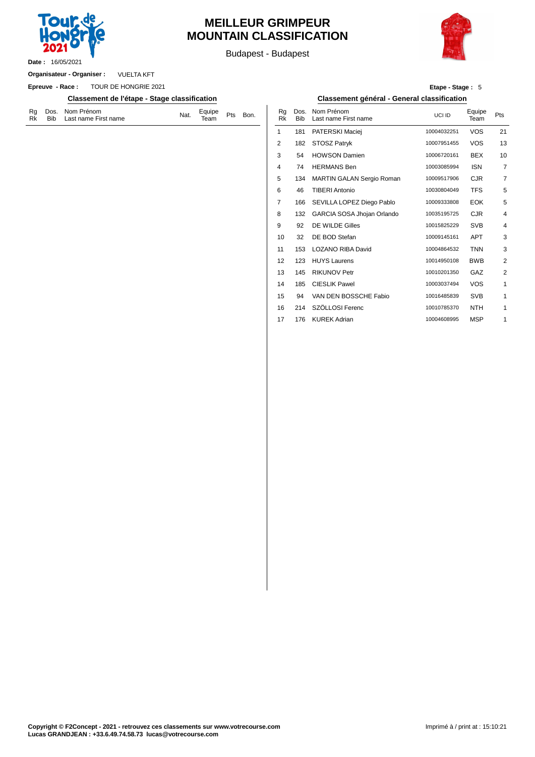

## **MEILLEUR GRIMPEUR MOUNTAIN CLASSIFICATION**

Budapest - Budapest



VUELTA KFT **Organisateur - Organiser :**

**Epreuve - Race :** TOUR DE HONGRIE 2021

**Classement de l'étape - Stage classification Classement général - General classification**

| Rg Dos. Nom Prénom<br>Equipe Pts Bon.<br>Team Pts Bon.<br>Nat.<br>Rk Bib Last name First name |  |  |  |  |  |  |  |
|-----------------------------------------------------------------------------------------------|--|--|--|--|--|--|--|
|-----------------------------------------------------------------------------------------------|--|--|--|--|--|--|--|

| Etape - Stage: 5 |  |  |
|------------------|--|--|
|------------------|--|--|

| Bon. | Rg<br><b>Rk</b> | Dos.<br><b>Bib</b> | Nom Prénom<br>Last name First name | UCLID       | Equipe<br>Team | Pts            |
|------|-----------------|--------------------|------------------------------------|-------------|----------------|----------------|
|      | 1               | 181                | PATERSKI Maciej                    | 10004032251 | <b>VOS</b>     | 21             |
|      | 2               | 182                | STOSZ Patryk                       | 10007951455 | <b>VOS</b>     | 13             |
|      | 3               | 54                 | <b>HOWSON Damien</b>               | 10006720161 | <b>BEX</b>     | 10             |
|      | 4               | 74                 | <b>HERMANS Ben</b>                 | 10003085994 | <b>ISN</b>     | $\overline{7}$ |
|      | 5               | 134                | MARTIN GALAN Sergio Roman          | 10009517906 | <b>CJR</b>     | $\overline{7}$ |
|      | 6               | 46                 | <b>TIBERI Antonio</b>              | 10030804049 | <b>TFS</b>     | 5              |
|      | 7               | 166                | SEVILLA LOPEZ Diego Pablo          | 10009333808 | <b>EOK</b>     | 5              |
|      | 8               | 132                | GARCIA SOSA Jhojan Orlando         | 10035195725 | <b>CJR</b>     | $\overline{4}$ |
|      | 9               | 92                 | DE WILDE Gilles                    | 10015825229 | <b>SVB</b>     | $\overline{4}$ |
|      | 10              | 32                 | DE BOD Stefan                      | 10009145161 | <b>APT</b>     | 3              |
|      | 11              | 153                | <b>LOZANO RIBA David</b>           | 10004864532 | <b>TNN</b>     | 3              |
|      | 12              | 123                | <b>HUYS Laurens</b>                | 10014950108 | <b>BWB</b>     | $\overline{2}$ |
|      | 13              | 145                | <b>RIKUNOV Petr</b>                | 10010201350 | GAZ            | $\overline{2}$ |
|      | 14              | 185                | <b>CIESLIK Pawel</b>               | 10003037494 | <b>VOS</b>     | $\mathbf{1}$   |
|      | 15              | 94                 | VAN DEN BOSSCHE Fabio              | 10016485839 | <b>SVB</b>     | $\mathbf{1}$   |
|      | 16              | 214                | SZÖLLOSI Ferenc                    | 10010785370 | <b>NTH</b>     | 1              |
|      | 17              | 176                | <b>KUREK Adrian</b>                | 10004608995 | <b>MSP</b>     | 1              |
|      |                 |                    |                                    |             |                |                |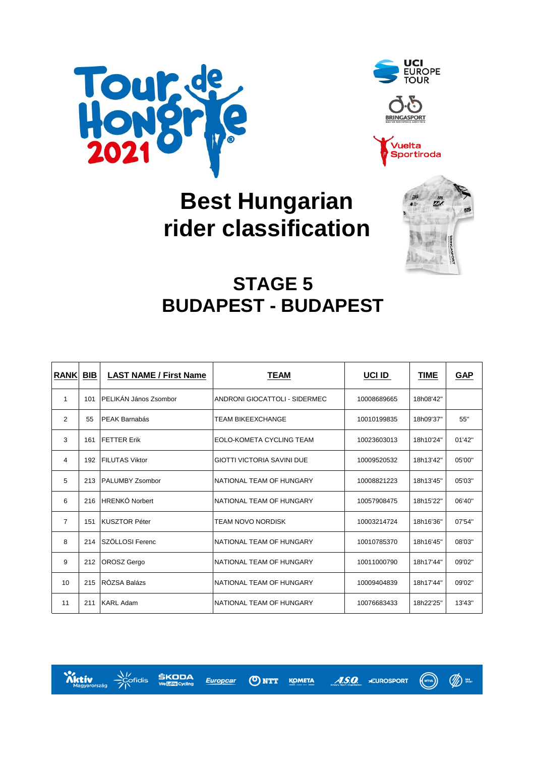





# **Best Hungarian rider classification**



# **STAGE 5 BUDAPEST - BUDAPEST**

| <b>RANK</b>    | BIB | <b>LAST NAME / First Name</b> | TEAM                              | UCI ID      | <b>TIME</b> | <b>GAP</b> |
|----------------|-----|-------------------------------|-----------------------------------|-------------|-------------|------------|
| $\mathbf{1}$   | 101 | PELIKÁN János Zsombor         | ANDRONI GIOCATTOLI - SIDERMEC     | 10008689665 | 18h08'42"   |            |
| $\mathcal{P}$  | 55  | <b>PEAK Barnabás</b>          | <b>TEAM BIKEEXCHANGE</b>          | 10010199835 | 18h09'37"   | 55"        |
| 3              | 161 | <b>FETTER Erik</b>            | EOLO-KOMETA CYCLING TEAM          | 10023603013 | 18h10'24"   | 01'42"     |
| 4              | 192 | <b>FILUTAS Viktor</b>         | <b>GIOTTI VICTORIA SAVINI DUE</b> | 10009520532 | 18h13'42"   | 05'00"     |
| 5              | 213 | <b>PALUMBY Zsombor</b>        | NATIONAL TEAM OF HUNGARY          | 10008821223 | 18h13'45"   | 05'03"     |
| 6              | 216 | HRENKÓ Norbert                | NATIONAL TEAM OF HUNGARY          | 10057908475 | 18h15'22"   | 06'40"     |
| $\overline{7}$ | 151 | <b>KUSZTOR Péter</b>          | <b>TEAM NOVO NORDISK</b>          | 10003214724 | 18h16'36"   | 07'54"     |
| 8              | 214 | SZÖLLOSI Ferenc               | NATIONAL TEAM OF HUNGARY          | 10010785370 | 18h16'45"   | 08'03"     |
| 9              | 212 | <b>OROSZ</b> Gergo            | NATIONAL TEAM OF HUNGARY          | 10011000790 | 18h17'44"   | 09'02"     |
| 10             | 215 | RÓZSA Balázs                  | NATIONAL TEAM OF HUNGARY          | 10009404839 | 18h17'44"   | 09'02"     |
| 11             | 211 | <b>KARL Adam</b>              | NATIONAL TEAM OF HUNGARY          | 10076683433 | 18h22'25"   | 13'43"     |



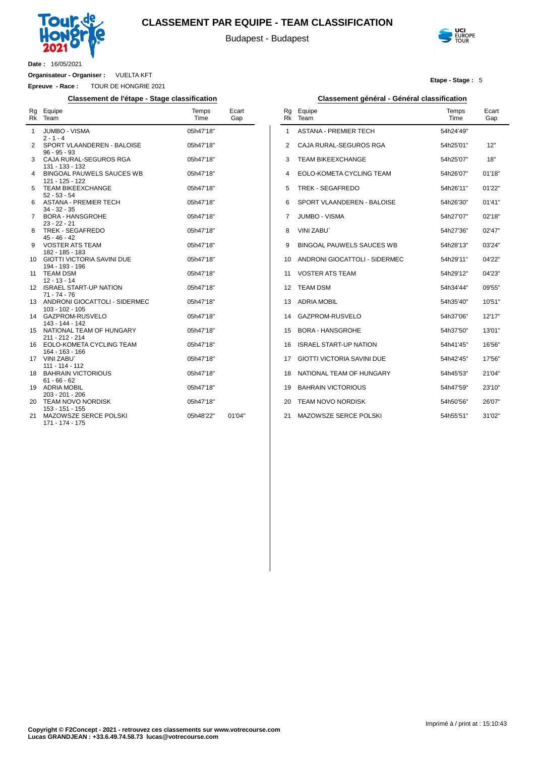

#### **CLASSEMENT PAR EQUIPE - TEAM CLASSIFICATION**

Budapest - Budapest



**Etape - Stage :** 5

**Date :** 16/05/2021

 $\overline{a}$ 

**Organisateur - Organiser :** VUELTA KFT

**Epreuve - Race :** TOUR DE HONGRIE 2021

#### **Classement de l'étape - Stage classification Classement général - Général classification**

| Rg<br><b>Rk</b> | Equipe<br>Team                                                        | Temps<br>Time          | Ecart<br>Gap |
|-----------------|-----------------------------------------------------------------------|------------------------|--------------|
| 1               | JUMBO - VISMA<br>$2 - 1 - 4$                                          | 05h47'18"              |              |
| 2               | SPORT VLAANDEREN - BALOISE<br>$96 - 95 - 93$                          | 05h47'18"              |              |
| 3               | CAJA RURAL-SEGUROS RGA<br>131 - 133 - 132                             | 05h47'18"              |              |
| 4               | BINGOAL PAUWELS SAUCES WB<br>121 - 125 - 122                          | 05h47'18"              |              |
| 5               | <b>TEAM BIKEEXCHANGE</b><br>$52 - 53 - 54$                            | 05h47'18"              |              |
| 6               | <b>ASTANA - PREMIER TECH</b><br>$34 - 32 - 35$                        | 05h47'18"              |              |
| 7               | <b>BORA - HANSGROHE</b><br>$23 - 22 - 21$                             | 05h47'18"              |              |
| 8               | TREK - SEGAFREDO<br>$45 - 46 - 42$                                    | 05h47'18"              |              |
| 9               | <b>VOSTER ATS TEAM</b><br>182 - 185 - 183                             | 05h47'18"              |              |
| 10              | <b>GIOTTI VICTORIA SAVINI DUE</b><br>194 - 193 - 196                  | 05h47'18"              |              |
| 11              | <b>TEAM DSM</b><br>$12 - 13 - 14$                                     | 05h47'18"              |              |
| 12              | <b>ISRAEL START-UP NATION</b><br>$71 - 74 - 76$                       | 05h47'18"              |              |
| 13              | ANDRONI GIOCATTOLI - SIDERMEC<br>$103 - 102 - 105$<br>GAZPROM-RUSVELO | 05h47'18"              |              |
| 14<br>15        | 143 - 144 - 142<br>NATIONAL TEAM OF HUNGARY                           | 05h47'18"<br>05h47'18" |              |
| 16              | 211 - 212 - 214<br>EOLO-KOMETA CYCLING TEAM                           | 05h47'18"              |              |
| 17              | 164 - 163 - 166<br><b>VINI ZABU</b>                                   | 05h47'18"              |              |
| 18              | 111 - 114 - 112<br><b>BAHRAIN VICTORIOUS</b>                          | 05h47'18"              |              |
| 19              | $61 - 66 - 62$<br><b>ADRIA MOBIL</b>                                  | 05h47'18"              |              |
| 20              | 203 - 201 - 206<br><b>TEAM NOVO NORDISK</b>                           | 05h47'18"              |              |
| 21              | 153 - 151 - 155<br>MAZOWSZE SERCE POLSKI                              | 05h48'22"              | 01'04"       |
|                 | 171 - 174 - 175                                                       |                        |              |

| Rg<br><b>Rk</b> | Equipe<br>Team                    | Temps<br>Time | Ecart<br>Gap |
|-----------------|-----------------------------------|---------------|--------------|
| 1               | ASTANA - PREMIER TECH             | 54h24'49"     |              |
| 2               | CAJA RURAL-SEGUROS RGA            | 54h25'01"     | 12"          |
| 3               | TEAM BIKEEXCHANGE                 | 54h25'07"     | 18"          |
| 4               | EOLO-KOMETA CYCLING TEAM          | 54h26'07"     | 01'18"       |
| 5               | TREK - SEGAFREDO                  | 54h26'11"     | 01'22"       |
| 6               | SPORT VLAANDEREN - BALOISE        | 54h26'30"     | 01'41''      |
| 7               | <b>JUMBO - VISMA</b>              | 54h27'07"     | 02'18"       |
| 8               | VINI ZABU`                        | 54h27'36"     | 02'47"       |
| 9               | BINGOAL PAUWELS SAUCES WB         | 54h28'13"     | 03'24"       |
| 10              | ANDRONI GIOCATTOLI - SIDERMEC     | 54h29'11"     | 04'22"       |
| 11              | <b>VOSTER ATS TEAM</b>            | 54h29'12"     | 04'23"       |
| 12              | TEAM DSM                          | 54h34'44"     | 09'55"       |
| 13              | <b>ADRIA MOBIL</b>                | 54h35'40"     | 10'51"       |
| 14              | GAZPROM-RUSVELO                   | 54h37'06"     | 12'17"       |
| 15              | <b>BORA - HANSGROHE</b>           | 54h37'50"     | 13'01"       |
| 16              | <b>ISRAEL START-UP NATION</b>     | 54h41'45"     | 16'56"       |
| 17              | <b>GIOTTI VICTORIA SAVINI DUE</b> | 54h42'45"     | 17'56"       |
| 18              | NATIONAL TEAM OF HUNGARY          | 54h45'53"     | 21'04"       |
| 19              | <b>BAHRAIN VICTORIOUS</b>         | 54h47'59"     | 23'10"       |
| 20              | <b>TEAM NOVO NORDISK</b>          | 54h50'56"     | 26'07"       |
| 21              | MAZOWSZE SERCE POLSKI             | 54h55'51"     | 31'02"       |